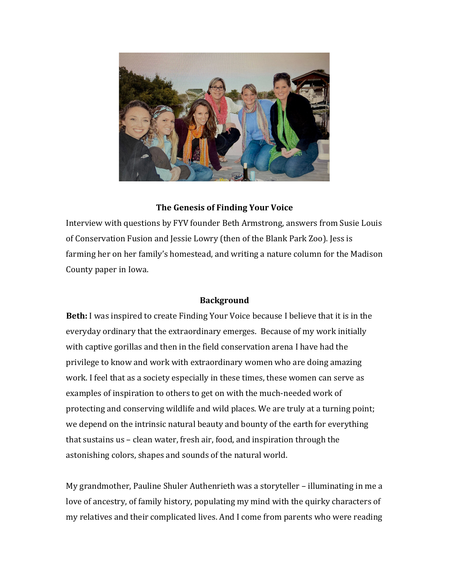

## **The Genesis of Finding Your Voice**

Interview with questions by FYV founder Beth Armstrong, answers from Susie Louis of Conservation Fusion and Jessie Lowry (then of the Blank Park Zoo). Jess is farming her on her family's homestead, and writing a nature column for the Madison County paper in Iowa.

## **Background**

**Beth:** I was inspired to create Finding Your Voice because I believe that it is in the everyday ordinary that the extraordinary emerges. Because of my work initially with captive gorillas and then in the field conservation arena I have had the privilege to know and work with extraordinary women who are doing amazing work. I feel that as a society especially in these times, these women can serve as examples of inspiration to others to get on with the much-needed work of protecting and conserving wildlife and wild places. We are truly at a turning point; we depend on the intrinsic natural beauty and bounty of the earth for everything that sustains us – clean water, fresh air, food, and inspiration through the astonishing colors, shapes and sounds of the natural world.

My grandmother, Pauline Shuler Authenrieth was a storyteller – illuminating in me a love of ancestry, of family history, populating my mind with the quirky characters of my relatives and their complicated lives. And I come from parents who were reading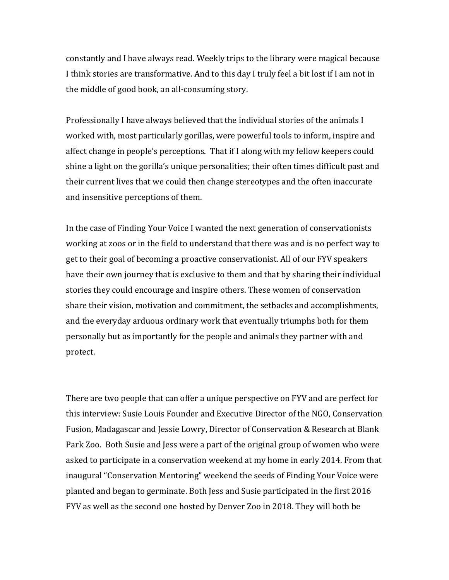constantly and I have always read. Weekly trips to the library were magical because I think stories are transformative. And to this day I truly feel a bit lost if I am not in the middle of good book, an all-consuming story.

Professionally I have always believed that the individual stories of the animals I worked with, most particularly gorillas, were powerful tools to inform, inspire and affect change in people's perceptions. That if I along with my fellow keepers could shine a light on the gorilla's unique personalities; their often times difficult past and their current lives that we could then change stereotypes and the often inaccurate and insensitive perceptions of them.

In the case of Finding Your Voice I wanted the next generation of conservationists working at zoos or in the field to understand that there was and is no perfect way to get to their goal of becoming a proactive conservationist. All of our FYV speakers have their own journey that is exclusive to them and that by sharing their individual stories they could encourage and inspire others. These women of conservation share their vision, motivation and commitment, the setbacks and accomplishments, and the everyday arduous ordinary work that eventually triumphs both for them personally but as importantly for the people and animals they partner with and protect. 

There are two people that can offer a unique perspective on FYV and are perfect for this interview: Susie Louis Founder and Executive Director of the NGO, Conservation Fusion, Madagascar and Jessie Lowry, Director of Conservation & Research at Blank Park Zoo. Both Susie and Jess were a part of the original group of women who were asked to participate in a conservation weekend at my home in early 2014. From that inaugural "Conservation Mentoring" weekend the seeds of Finding Your Voice were planted and began to germinate. Both Jess and Susie participated in the first 2016 FYV as well as the second one hosted by Denver Zoo in 2018. They will both be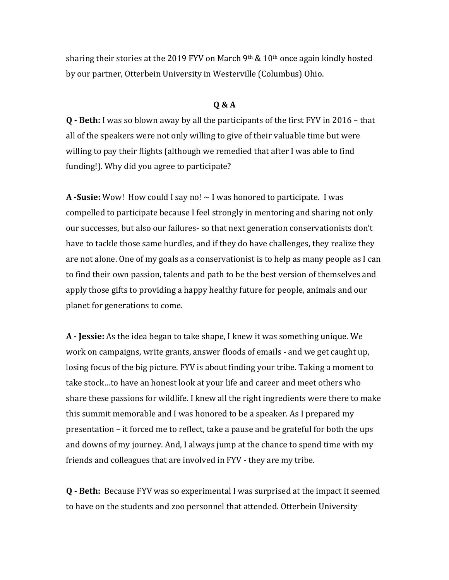sharing their stories at the 2019 FYV on March  $9<sup>th</sup>$  & 10<sup>th</sup> once again kindly hosted by our partner, Otterbein University in Westerville (Columbus) Ohio.

## **Q & A**

**Q** - Beth: I was so blown away by all the participants of the first FYV in 2016 - that all of the speakers were not only willing to give of their valuable time but were willing to pay their flights (although we remedied that after I was able to find funding!). Why did you agree to participate?

**A** -Susie: Wow! How could I say no!  $\sim$  I was honored to participate. I was compelled to participate because I feel strongly in mentoring and sharing not only our successes, but also our failures- so that next generation conservationists don't have to tackle those same hurdles, and if they do have challenges, they realize they are not alone. One of my goals as a conservationist is to help as many people as I can to find their own passion, talents and path to be the best version of themselves and apply those gifts to providing a happy healthy future for people, animals and our planet for generations to come.

**A** - **Jessie:** As the idea began to take shape, I knew it was something unique. We work on campaigns, write grants, answer floods of emails - and we get caught up, losing focus of the big picture. FYV is about finding your tribe. Taking a moment to take stock...to have an honest look at your life and career and meet others who share these passions for wildlife. I knew all the right ingredients were there to make this summit memorable and I was honored to be a speaker. As I prepared my presentation – it forced me to reflect, take a pause and be grateful for both the ups and downs of my journey. And, I always jump at the chance to spend time with my friends and colleagues that are involved in FYV - they are my tribe.

**Q** - Beth: Because FYV was so experimental I was surprised at the impact it seemed to have on the students and zoo personnel that attended. Otterbein University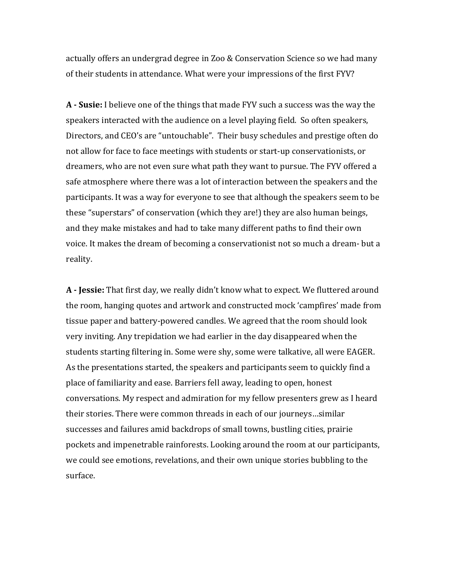actually offers an undergrad degree in Zoo & Conservation Science so we had many of their students in attendance. What were your impressions of the first FYV?

**A** - Susie: I believe one of the things that made FYV such a success was the way the speakers interacted with the audience on a level playing field. So often speakers, Directors, and CEO's are "untouchable". Their busy schedules and prestige often do not allow for face to face meetings with students or start-up conservationists, or dreamers, who are not even sure what path they want to pursue. The FYV offered a safe atmosphere where there was a lot of interaction between the speakers and the participants. It was a way for everyone to see that although the speakers seem to be these "superstars" of conservation (which they are!) they are also human beings, and they make mistakes and had to take many different paths to find their own voice. It makes the dream of becoming a conservationist not so much a dream- but a reality. 

A - Jessie: That first day, we really didn't know what to expect. We fluttered around the room, hanging quotes and artwork and constructed mock 'campfires' made from tissue paper and battery-powered candles. We agreed that the room should look very inviting. Any trepidation we had earlier in the day disappeared when the students starting filtering in. Some were shy, some were talkative, all were EAGER. As the presentations started, the speakers and participants seem to quickly find a place of familiarity and ease. Barriers fell away, leading to open, honest conversations. My respect and admiration for my fellow presenters grew as I heard their stories. There were common threads in each of our journeys...similar successes and failures amid backdrops of small towns, bustling cities, prairie pockets and impenetrable rainforests. Looking around the room at our participants, we could see emotions, revelations, and their own unique stories bubbling to the surface.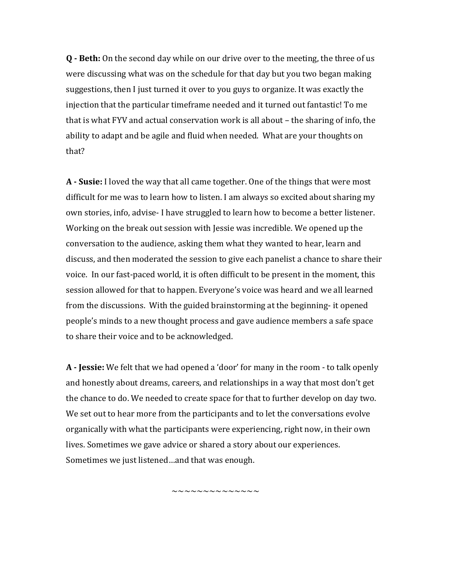**Q** - **Beth:** On the second day while on our drive over to the meeting, the three of us were discussing what was on the schedule for that day but you two began making suggestions, then I just turned it over to you guys to organize. It was exactly the injection that the particular timeframe needed and it turned out fantastic! To me that is what FYV and actual conservation work is all about – the sharing of info, the ability to adapt and be agile and fluid when needed. What are your thoughts on that? 

**A** - Susie: I loved the way that all came together. One of the things that were most difficult for me was to learn how to listen. I am always so excited about sharing my own stories, info, advise- I have struggled to learn how to become a better listener. Working on the break out session with Jessie was incredible. We opened up the conversation to the audience, asking them what they wanted to hear, learn and discuss, and then moderated the session to give each panelist a chance to share their voice. In our fast-paced world, it is often difficult to be present in the moment, this session allowed for that to happen. Everyone's voice was heard and we all learned from the discussions. With the guided brainstorming at the beginning- it opened people's minds to a new thought process and gave audience members a safe space to share their voice and to be acknowledged.

**A** - **Jessie:** We felt that we had opened a 'door' for many in the room - to talk openly and honestly about dreams, careers, and relationships in a way that most don't get the chance to do. We needed to create space for that to further develop on day two. We set out to hear more from the participants and to let the conversations evolve organically with what the participants were experiencing, right now, in their own lives. Sometimes we gave advice or shared a story about our experiences. Sometimes we just listened...and that was enough.

~~~~~~~~~~~~~~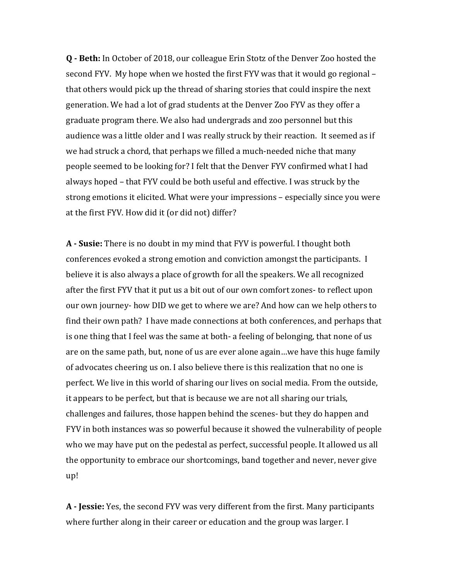**Q - Beth:** In October of 2018, our colleague Erin Stotz of the Denver Zoo hosted the second FYV. My hope when we hosted the first FYV was that it would go regional – that others would pick up the thread of sharing stories that could inspire the next generation. We had a lot of grad students at the Denver Zoo FYV as they offer a graduate program there. We also had undergrads and zoo personnel but this audience was a little older and I was really struck by their reaction. It seemed as if we had struck a chord, that perhaps we filled a much-needed niche that many people seemed to be looking for? I felt that the Denver FYV confirmed what I had always hoped – that FYV could be both useful and effective. I was struck by the strong emotions it elicited. What were your impressions – especially since you were at the first FYV. How did it (or did not) differ?

**A** - **Susie:** There is no doubt in my mind that FYV is powerful. I thought both conferences evoked a strong emotion and conviction amongst the participants. I believe it is also always a place of growth for all the speakers. We all recognized after the first FYV that it put us a bit out of our own comfort zones- to reflect upon our own journey- how DID we get to where we are? And how can we help others to find their own path? I have made connections at both conferences, and perhaps that is one thing that I feel was the same at both- a feeling of belonging, that none of us are on the same path, but, none of us are ever alone again...we have this huge family of advocates cheering us on. I also believe there is this realization that no one is perfect. We live in this world of sharing our lives on social media. From the outside, it appears to be perfect, but that is because we are not all sharing our trials, challenges and failures, those happen behind the scenes- but they do happen and FYV in both instances was so powerful because it showed the vulnerability of people who we may have put on the pedestal as perfect, successful people. It allowed us all the opportunity to embrace our shortcomings, band together and never, never give up! 

A - **Jessie:** Yes, the second FYV was very different from the first. Many participants where further along in their career or education and the group was larger. I